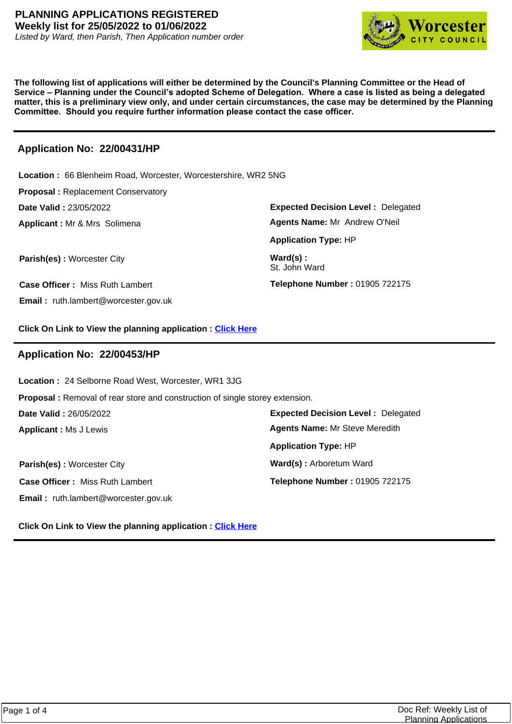

**The following list of applications will either be determined by the Council's Planning Committee or the Head of Service – Planning under the Council's adopted Scheme of Delegation. Where a case is listed as being a delegated matter, this is a preliminary view only, and under certain circumstances, the case may be determined by the Planning Committee. Should you require further information please contact the case officer.**

# **Application No: 22/00431/HP**

**Expected Decision Level :** Delegated **Parish(es)** : Worcester City **Ward(s)** : St. John Ward **Applicant :** Mr & Mrs Solimena **Date Valid :** 23/05/2022 **Location :** 66 Blenheim Road, Worcester, Worcestershire, WR2 5NG **Proposal :** Replacement Conservatory **Case Officer :** Miss Ruth Lambert **Email :** ruth.lambert@worcester.gov.uk **Telephone Number :** 01905 722175 **Application Type:** HP **Agents Name:** Mr Andrew O'Neil

**Click On Link to View the planning application : [Click Here](https://plan.worcester.gov.uk/Planning/Display/22/00431/HP)**

#### **Application No: 22/00453/HP**

**Location :** 24 Selborne Road West, Worcester, WR1 3JG

**Proposal :** Removal of rear store and construction of single storey extension.

**Date Valid :** 26/05/2022

**Applicant :** Ms J Lewis

**Parish(es) :** Worcester City **Ward(S)** : Arboretum Ward **Case Officer :** Miss Ruth Lambert **Email :** ruth.lambert@worcester.gov.uk

**Expected Decision Level :** Delegated **Telephone Number :** 01905 722175 **Application Type:** HP **Agents Name:** Mr Steve Meredith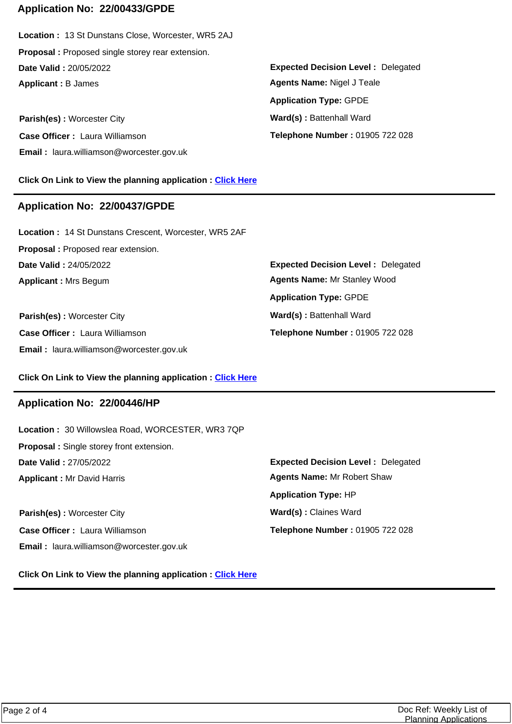# **Application No: 22/00433/GPDE**

**Applicant :** B James **Date Valid :** 20/05/2022 **Location :** 13 St Dunstans Close, Worcester, WR5 2AJ **Proposal :** Proposed single storey rear extension.

**Parish(es)** : Worcester City **Ward(s)** : Battenhall Ward **Case Officer :** Laura Williamson **Email :** laura.williamson@worcester.gov.uk

**Click On Link to View the planning application : [Click Here](https://plan.worcester.gov.uk/Planning/Display/22/00433/GPDE)**

#### **Application No: 22/00437/GPDE**

**Applicant :** Mrs Begum **Date Valid :** 24/05/2022 **Location :** 14 St Dunstans Crescent, Worcester, WR5 2AF **Proposal :** Proposed rear extension.

**Parish(es) :** Worcester City **Ward(s) : Battenhall Ward Case Officer :** Laura Williamson **Email :** laura.williamson@worcester.gov.uk

**Expected Decision Level :** Delegated **Telephone Number :** 01905 722 028 **Application Type:** GPDE **Agents Name:** Nigel J Teale

**Expected Decision Level :** Delegated **Telephone Number :** 01905 722 028 **Application Type:** GPDE **Agents Name:** Mr Stanley Wood

**Click On Link to View the planning application : [Click Here](https://plan.worcester.gov.uk/Planning/Display/22/00437/GPDE)**

#### **Application No: 22/00446/HP**

**Applicant :** Mr David Harris **Date Valid :** 27/05/2022 **Location :** 30 Willowslea Road, WORCESTER, WR3 7QP **Proposal :** Single storey front extension.

**Parish(es)** : Worcester City **Ward(s)** : Claines Ward **Case Officer :** Laura Williamson **Email :** laura.williamson@worcester.gov.uk

**Expected Decision Level :** Delegated **Telephone Number :** 01905 722 028 **Application Type:** HP **Agents Name:** Mr Robert Shaw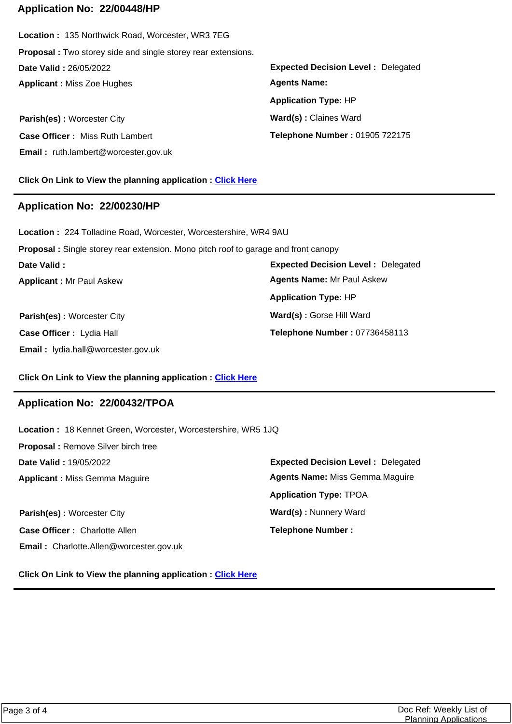#### **Application No: 22/00448/HP**

**Applicant :** Miss Zoe Hughes **Date Valid :** 26/05/2022 **Location :** 135 Northwick Road, Worcester, WR3 7EG **Proposal :** Two storey side and single storey rear extensions.

**Parish(es)** : Worcester City **Ward(s)** : Claines Ward **Case Officer :** Miss Ruth Lambert **Email :** ruth.lambert@worcester.gov.uk

**Click On Link to View the planning application : [Click Here](https://plan.worcester.gov.uk/Planning/Display/22/00448/HP)**

#### **Application No: 22/00230/HP**

**Parish(es)** : Worcester City **Ward(s)** : Gorse Hill Ward **Applicant :** Mr Paul Askew **Date Valid : Location :** 224 Tolladine Road, Worcester, Worcestershire, WR4 9AU **Proposal :** Single storey rear extension. Mono pitch roof to garage and front canopy **Application Type:** HP

**Case Officer :** Lydia Hall **Email :** lydia.hall@worcester.gov.uk **Expected Decision Level :** Delegated **Telephone Number :** 01905 722175 **Application Type:** HP **Agents Name:** 

**Expected Decision Level :** Delegated **Telephone Number :** 07736458113 **Agents Name:** Mr Paul Askew

#### **Click On Link to View the planning application : [Click Here](https://plan.worcester.gov.uk/Planning/Display/22/00230/HP)**

# **Application No: 22/00432/TPOA**

**Location :** 18 Kennet Green, Worcester, Worcestershire, WR5 1JQ

**Expected Decision Level :** Delegated **Parish(es):** Worcester City **Ward(s):** Nunnery Ward **Applicant :** Miss Gemma Maguire **Date Valid :** 19/05/2022 **Proposal :** Remove Silver birch tree **Case Officer :** Charlotte Allen **Email :** Charlotte.Allen@worcester.gov.uk **Telephone Number : Application Type:** TPOA **Agents Name:** Miss Gemma Maguire